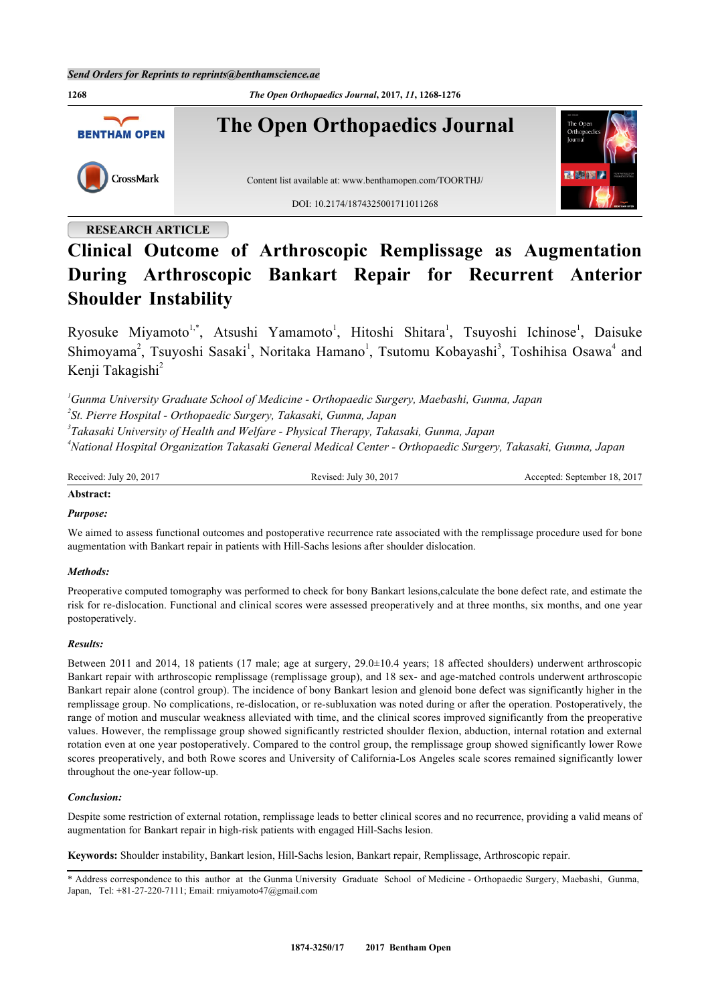

# **RESEARCH ARTICLE**

# **Clinical Outcome of Arthroscopic Remplissage as Augmentation During Arthroscopic Bankart Repair for Recurrent Anterior Shoulder Instability**

Ryosuke Miyamoto<sup>[1](#page-0-0),[\\*](#page-0-1)</sup>, Atsushi Yamamoto<sup>1</sup>, Hitoshi Shitara<sup>1</sup>, Tsuyoshi Ichinose<sup>1</sup>, Daisuke Shimoyama<sup>[2](#page-0-2)</sup>, Tsuyoshi Sasaki<sup>[1](#page-0-0)</sup>, Noritaka Hamano<sup>1</sup>, Tsutomu Kobayashi<sup>[3](#page-0-3)</sup>, Toshihisa Osawa<sup>[4](#page-0-4)</sup> and Kenji Takagishi<sup>[2](#page-0-2)</sup>

<span id="page-0-3"></span><span id="page-0-2"></span><span id="page-0-0"></span>*Gunma University Graduate School of Medicine - Orthopaedic Surgery, Maebashi, Gunma, Japan St. Pierre Hospital - Orthopaedic Surgery, Takasaki, Gunma, Japan Takasaki University of Health and Welfare - Physical Therapy, Takasaki, Gunma, Japan National Hospital Organization Takasaki General Medical Center - Orthopaedic Surgery, Takasaki, Gunma, Japan*

Received: July 20, 2017 Revised: July 30, 2017 Accepted: September 18, 2017

# **Abstract:**

# *Purpose:*

We aimed to assess functional outcomes and postoperative recurrence rate associated with the remplissage procedure used for bone augmentation with Bankart repair in patients with Hill-Sachs lesions after shoulder dislocation.

# *Methods:*

Preoperative computed tomography was performed to check for bony Bankart lesions,calculate the bone defect rate, and estimate the risk for re-dislocation. Functional and clinical scores were assessed preoperatively and at three months, six months, and one year postoperatively.

# *Results:*

Between 2011 and 2014, 18 patients (17 male; age at surgery, 29.0±10.4 years; 18 affected shoulders) underwent arthroscopic Bankart repair with arthroscopic remplissage (remplissage group), and 18 sex- and age-matched controls underwent arthroscopic Bankart repair alone (control group). The incidence of bony Bankart lesion and glenoid bone defect was significantly higher in the remplissage group. No complications, re-dislocation, or re-subluxation was noted during or after the operation. Postoperatively, the range of motion and muscular weakness alleviated with time, and the clinical scores improved significantly from the preoperative values. However, the remplissage group showed significantly restricted shoulder flexion, abduction, internal rotation and external rotation even at one year postoperatively. Compared to the control group, the remplissage group showed significantly lower Rowe scores preoperatively, and both Rowe scores and University of California-Los Angeles scale scores remained significantly lower throughout the one-year follow-up.

# *Conclusion:*

Despite some restriction of external rotation, remplissage leads to better clinical scores and no recurrence, providing a valid means of augmentation for Bankart repair in high-risk patients with engaged Hill-Sachs lesion.

**Keywords:** Shoulder instability, Bankart lesion, Hill-Sachs lesion, Bankart repair, Remplissage, Arthroscopic repair.

<span id="page-0-1"></span><sup>\*</sup> Address correspondence to this author at the Gunma University Graduate School of Medicine - Orthopaedic Surgery, Maebashi, Gunma, Japan, Tel: +81-27-220-7111; Email: [rmiyamoto47@gmail.com](mailto:rmiyamoto47@gmail.com)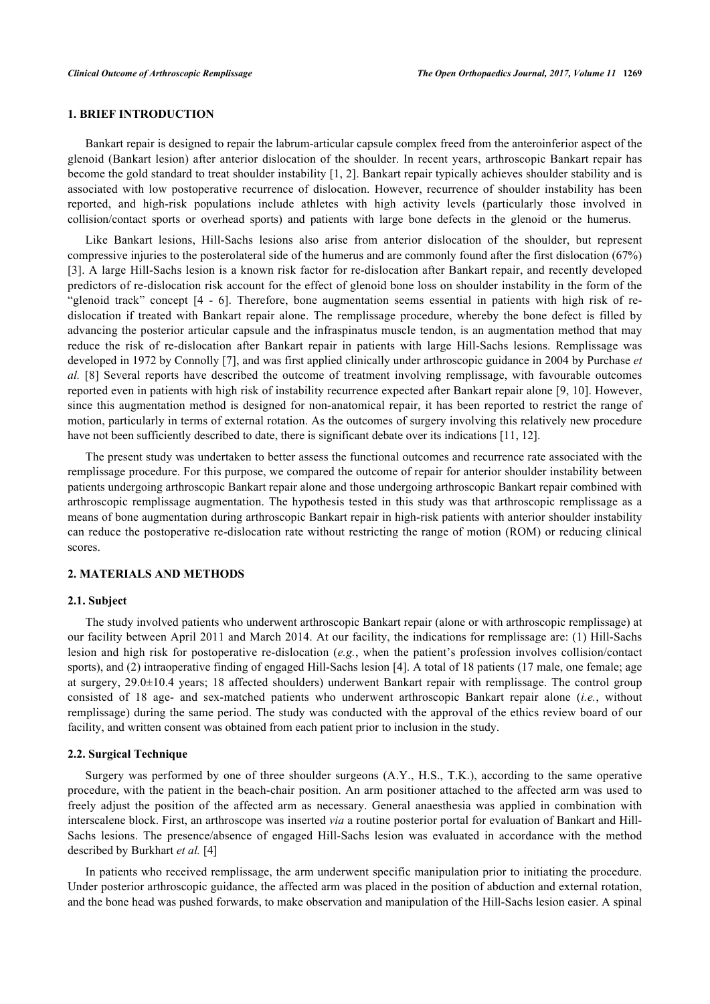# **1. BRIEF INTRODUCTION**

Bankart repair is designed to repair the labrum-articular capsule complex freed from the anteroinferior aspect of the glenoid (Bankart lesion) after anterior dislocation of the shoulder. In recent years, arthroscopic Bankart repair has become the gold standard to treat shoulder instability [[1,](#page-6-0) [2](#page-6-1)]. Bankart repair typically achieves shoulder stability and is associated with low postoperative recurrence of dislocation. However, recurrence of shoulder instability has been reported, and high-risk populations include athletes with high activity levels (particularly those involved in collision/contact sports or overhead sports) and patients with large bone defects in the glenoid or the humerus.

Like Bankart lesions, Hill-Sachs lesions also arise from anterior dislocation of the shoulder, but represent compressive injuries to the posterolateral side of the humerus and are commonly found after the first dislocation (67%) [\[3](#page-6-2)]. A large Hill-Sachs lesion is a known risk factor for re-dislocation after Bankart repair, and recently developed predictors of re-dislocation risk account for the effect of glenoid bone loss on shoulder instability in the form of the "glenoid track" concept[[4](#page-6-3) - [6](#page-6-4)]. Therefore, bone augmentation seems essential in patients with high risk of redislocation if treated with Bankart repair alone. The remplissage procedure, whereby the bone defect is filled by advancing the posterior articular capsule and the infraspinatus muscle tendon, is an augmentation method that may reduce the risk of re-dislocation after Bankart repair in patients with large Hill-Sachs lesions. Remplissage was developed in 1972 by Connolly [[7\]](#page-7-0), and was first applied clinically under arthroscopic guidance in 2004 by Purchase *et al.* [[8\]](#page-7-1) Several reports have described the outcome of treatment involving remplissage, with favourable outcomes reported even in patients with high risk of instability recurrence expected after Bankart repair alone [[9,](#page-7-2) [10](#page-7-3)]. However, since this augmentation method is designed for non-anatomical repair, it has been reported to restrict the range of motion, particularly in terms of external rotation. As the outcomes of surgery involving this relatively new procedure have not been sufficiently described to date, there is significant debate over its indications [\[11](#page-7-4), [12](#page-7-5)].

The present study was undertaken to better assess the functional outcomes and recurrence rate associated with the remplissage procedure. For this purpose, we compared the outcome of repair for anterior shoulder instability between patients undergoing arthroscopic Bankart repair alone and those undergoing arthroscopic Bankart repair combined with arthroscopic remplissage augmentation. The hypothesis tested in this study was that arthroscopic remplissage as a means of bone augmentation during arthroscopic Bankart repair in high-risk patients with anterior shoulder instability can reduce the postoperative re-dislocation rate without restricting the range of motion (ROM) or reducing clinical scores.

# **2. MATERIALS AND METHODS**

#### **2.1. Subject**

The study involved patients who underwent arthroscopic Bankart repair (alone or with arthroscopic remplissage) at our facility between April 2011 and March 2014. At our facility, the indications for remplissage are: (1) Hill-Sachs lesion and high risk for postoperative re-dislocation (*e.g.*, when the patient's profession involves collision/contact sports), and (2) intraoperative finding of engaged Hill-Sachs lesion [[4\]](#page-6-3). A total of 18 patients (17 male, one female; age at surgery, 29.0±10.4 years; 18 affected shoulders) underwent Bankart repair with remplissage. The control group consisted of 18 age- and sex-matched patients who underwent arthroscopic Bankart repair alone (*i.e.*, without remplissage) during the same period. The study was conducted with the approval of the ethics review board of our facility, and written consent was obtained from each patient prior to inclusion in the study.

#### **2.2. Surgical Technique**

Surgery was performed by one of three shoulder surgeons (A.Y., H.S., T.K.), according to the same operative procedure, with the patient in the beach-chair position. An arm positioner attached to the affected arm was used to freely adjust the position of the affected arm as necessary. General anaesthesia was applied in combination with interscalene block. First, an arthroscope was inserted *via* a routine posterior portal for evaluation of Bankart and Hill-Sachs lesions. The presence/absence of engaged Hill-Sachs lesion was evaluated in accordance with the method described by Burkhart *et al.* [[4\]](#page-6-3)

In patients who received remplissage, the arm underwent specific manipulation prior to initiating the procedure. Under posterior arthroscopic guidance, the affected arm was placed in the position of abduction and external rotation, and the bone head was pushed forwards, to make observation and manipulation of the Hill-Sachs lesion easier. A spinal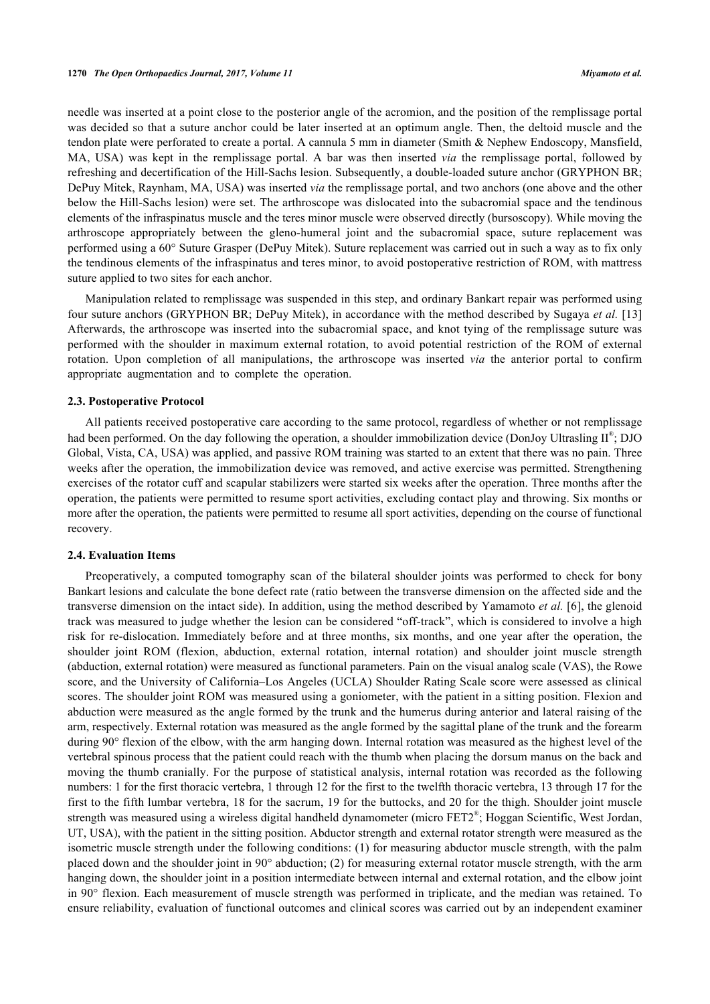needle was inserted at a point close to the posterior angle of the acromion, and the position of the remplissage portal was decided so that a suture anchor could be later inserted at an optimum angle. Then, the deltoid muscle and the tendon plate were perforated to create a portal. A cannula 5 mm in diameter (Smith & Nephew Endoscopy, Mansfield, MA, USA) was kept in the remplissage portal. A bar was then inserted *via* the remplissage portal, followed by refreshing and decertification of the Hill-Sachs lesion. Subsequently, a double-loaded suture anchor (GRYPHON BR; DePuy Mitek, Raynham, MA, USA) was inserted *via* the remplissage portal, and two anchors (one above and the other below the Hill-Sachs lesion) were set. The arthroscope was dislocated into the subacromial space and the tendinous elements of the infraspinatus muscle and the teres minor muscle were observed directly (bursoscopy). While moving the arthroscope appropriately between the gleno-humeral joint and the subacromial space, suture replacement was performed using a 60° Suture Grasper (DePuy Mitek). Suture replacement was carried out in such a way as to fix only the tendinous elements of the infraspinatus and teres minor, to avoid postoperative restriction of ROM, with mattress suture applied to two sites for each anchor.

Manipulation related to remplissage was suspended in this step, and ordinary Bankart repair was performed using four suture anchors (GRYPHON BR; DePuy Mitek), in accordance with the method described by Sugaya *et al.* [[13](#page-7-6)] Afterwards, the arthroscope was inserted into the subacromial space, and knot tying of the remplissage suture was performed with the shoulder in maximum external rotation, to avoid potential restriction of the ROM of external rotation. Upon completion of all manipulations, the arthroscope was inserted *via* the anterior portal to confirm appropriate augmentation and to complete the operation.

# **2.3. Postoperative Protocol**

All patients received postoperative care according to the same protocol, regardless of whether or not remplissage had been performed. On the day following the operation, a shoulder immobilization device (DonJoy Ultrasling II<sup>®</sup>; DJO Global, Vista, CA, USA) was applied, and passive ROM training was started to an extent that there was no pain. Three weeks after the operation, the immobilization device was removed, and active exercise was permitted. Strengthening exercises of the rotator cuff and scapular stabilizers were started six weeks after the operation. Three months after the operation, the patients were permitted to resume sport activities, excluding contact play and throwing. Six months or more after the operation, the patients were permitted to resume all sport activities, depending on the course of functional recovery.

#### **2.4. Evaluation Items**

Preoperatively, a computed tomography scan of the bilateral shoulder joints was performed to check for bony Bankart lesions and calculate the bone defect rate (ratio between the transverse dimension on the affected side and the transverse dimension on the intact side). In addition, using the method described by Yamamoto *et al.* [[6\]](#page-6-4), the glenoid track was measured to judge whether the lesion can be considered "off-track", which is considered to involve a high risk for re-dislocation. Immediately before and at three months, six months, and one year after the operation, the shoulder joint ROM (flexion, abduction, external rotation, internal rotation) and shoulder joint muscle strength (abduction, external rotation) were measured as functional parameters. Pain on the visual analog scale (VAS), the Rowe score, and the University of California–Los Angeles (UCLA) Shoulder Rating Scale score were assessed as clinical scores. The shoulder joint ROM was measured using a goniometer, with the patient in a sitting position. Flexion and abduction were measured as the angle formed by the trunk and the humerus during anterior and lateral raising of the arm, respectively. External rotation was measured as the angle formed by the sagittal plane of the trunk and the forearm during 90° flexion of the elbow, with the arm hanging down. Internal rotation was measured as the highest level of the vertebral spinous process that the patient could reach with the thumb when placing the dorsum manus on the back and moving the thumb cranially. For the purpose of statistical analysis, internal rotation was recorded as the following numbers: 1 for the first thoracic vertebra, 1 through 12 for the first to the twelfth thoracic vertebra, 13 through 17 for the first to the fifth lumbar vertebra, 18 for the sacrum, 19 for the buttocks, and 20 for the thigh. Shoulder joint muscle strength was measured using a wireless digital handheld dynamometer (micro FET2®; Hoggan Scientific, West Jordan, UT, USA), with the patient in the sitting position. Abductor strength and external rotator strength were measured as the isometric muscle strength under the following conditions: (1) for measuring abductor muscle strength, with the palm placed down and the shoulder joint in 90° abduction; (2) for measuring external rotator muscle strength, with the arm hanging down, the shoulder joint in a position intermediate between internal and external rotation, and the elbow joint in 90° flexion. Each measurement of muscle strength was performed in triplicate, and the median was retained. To ensure reliability, evaluation of functional outcomes and clinical scores was carried out by an independent examiner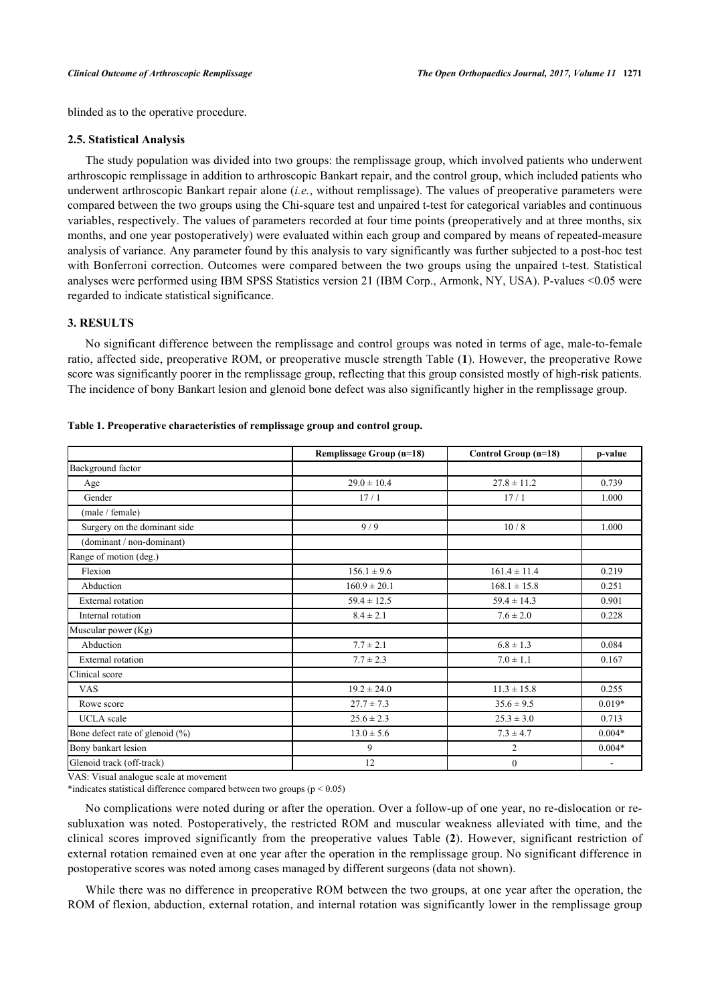blinded as to the operative procedure.

#### **2.5. Statistical Analysis**

The study population was divided into two groups: the remplissage group, which involved patients who underwent arthroscopic remplissage in addition to arthroscopic Bankart repair, and the control group, which included patients who underwent arthroscopic Bankart repair alone (*i.e.*, without remplissage). The values of preoperative parameters were compared between the two groups using the Chi-square test and unpaired t-test for categorical variables and continuous variables, respectively. The values of parameters recorded at four time points (preoperatively and at three months, six months, and one year postoperatively) were evaluated within each group and compared by means of repeated-measure analysis of variance. Any parameter found by this analysis to vary significantly was further subjected to a post-hoc test with Bonferroni correction. Outcomes were compared between the two groups using the unpaired t-test. Statistical analyses were performed using IBM SPSS Statistics version 21 (IBM Corp., Armonk, NY, USA). P-values <0.05 were regarded to indicate statistical significance.

# **3. RESULTS**

No significant difference between the remplissage and control groups was noted in terms of age, male-to-female ratio, affected side, preoperative ROM, or preoperative muscle strength Table (**[1](#page-3-0)**). However, the preoperative Rowe score was significantly poorer in the remplissage group, reflecting that this group consisted mostly of high-risk patients. The incidence of bony Bankart lesion and glenoid bone defect was also significantly higher in the remplissage group.

|                                 | Remplissage Group (n=18) | Control Group (n=18) | p-value  |  |
|---------------------------------|--------------------------|----------------------|----------|--|
| Background factor               |                          |                      |          |  |
| Age                             | $29.0 \pm 10.4$          | $27.8 \pm 11.2$      | 0.739    |  |
| Gender                          | 17/1                     | 17/1                 | 1.000    |  |
| (male / female)                 |                          |                      |          |  |
| Surgery on the dominant side    | 9/9                      | 10/8                 | 1.000    |  |
| (dominant / non-dominant)       |                          |                      |          |  |
| Range of motion (deg.)          |                          |                      |          |  |
| Flexion                         | $156.1 \pm 9.6$          | $161.4 \pm 11.4$     | 0.219    |  |
| Abduction                       | $160.9 \pm 20.1$         | $168.1 \pm 15.8$     | 0.251    |  |
| <b>External</b> rotation        | $59.4 \pm 12.5$          | $59.4 \pm 14.3$      | 0.901    |  |
| Internal rotation               | $8.4 \pm 2.1$            | $7.6 \pm 2.0$        | 0.228    |  |
| Muscular power (Kg)             |                          |                      |          |  |
| Abduction                       | $7.7 \pm 2.1$            | $6.8 \pm 1.3$        | 0.084    |  |
| External rotation               | $7.7 \pm 2.3$            | $7.0 \pm 1.1$        | 0.167    |  |
| Clinical score                  |                          |                      |          |  |
| <b>VAS</b>                      | $19.2 \pm 24.0$          | $11.3 \pm 15.8$      | 0.255    |  |
| Rowe score                      | $27.7 \pm 7.3$           | $35.6 \pm 9.5$       | $0.019*$ |  |
| <b>UCLA</b> scale               | $25.6 \pm 2.3$           | $25.3 \pm 3.0$       | 0.713    |  |
| Bone defect rate of glenoid (%) | $13.0 \pm 5.6$           | $7.3 \pm 4.7$        | $0.004*$ |  |
| Bony bankart lesion             | 9                        | $\overline{2}$       | $0.004*$ |  |
| Glenoid track (off-track)       | 12                       | $\mathbf{0}$         |          |  |

#### <span id="page-3-0"></span>**Table 1. Preoperative characteristics of remplissage group and control group.**

VAS: Visual analogue scale at movement

\*indicates statistical difference compared between two groups (p < 0.05)

No complications were noted during or after the operation. Over a follow-up of one year, no re-dislocation or resubluxation was noted. Postoperatively, the restricted ROM and muscular weakness alleviated with time, and the clinical scores improved significantly from the preoperative values Table (**[2](#page-4-0)**). However, significant restriction of external rotation remained even at one year after the operation in the remplissage group. No significant difference in postoperative scores was noted among cases managed by different surgeons (data not shown).

While there was no difference in preoperative ROM between the two groups, at one year after the operation, the ROM of flexion, abduction, external rotation, and internal rotation was significantly lower in the remplissage group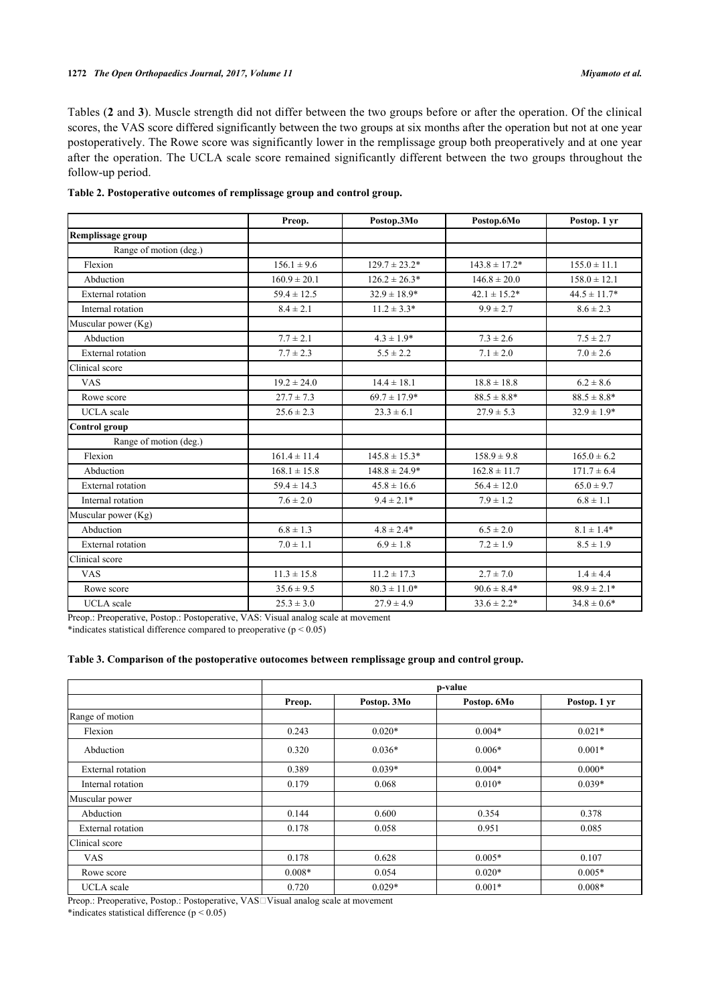Tables (**[2](#page-4-0)** and **[3](#page-4-1)**). Muscle strength did not differ between the two groups before or after the operation. Of the clinical scores, the VAS score differed significantly between the two groups at six months after the operation but not at one year postoperatively. The Rowe score was significantly lower in the remplissage group both preoperatively and at one year after the operation. The UCLA scale score remained significantly different between the two groups throughout the follow-up period.

<span id="page-4-0"></span>

| Table 2. Postoperative outcomes of remplissage group and control group. |  |  |
|-------------------------------------------------------------------------|--|--|
|-------------------------------------------------------------------------|--|--|

|                          | Preop.           | Postop.3Mo         | Postop.6Mo        | Postop. 1 yr     |
|--------------------------|------------------|--------------------|-------------------|------------------|
| Remplissage group        |                  |                    |                   |                  |
| Range of motion (deg.)   |                  |                    |                   |                  |
| Flexion                  | $156.1 \pm 9.6$  | $129.7 \pm 23.2^*$ | $143.8 \pm 17.2*$ | $155.0 \pm 11.1$ |
| Abduction                | $160.9 \pm 20.1$ | $126.2 \pm 26.3*$  | $146.8 \pm 20.0$  | $158.0 \pm 12.1$ |
| External rotation        | $59.4 \pm 12.5$  | $32.9 \pm 18.9^*$  | $42.1 \pm 15.2^*$ | $44.5 \pm 11.7*$ |
| Internal rotation        | $8.4 \pm 2.1$    | $11.2 \pm 3.3*$    | $9.9 \pm 2.7$     | $8.6 \pm 2.3$    |
| Muscular power (Kg)      |                  |                    |                   |                  |
| Abduction                | $7.7 \pm 2.1$    | $4.3 \pm 1.9*$     | $7.3 \pm 2.6$     | $7.5 \pm 2.7$    |
| External rotation        | $7.7 \pm 2.3$    | $5.5 \pm 2.2$      | $7.1 \pm 2.0$     | $7.0 \pm 2.6$    |
| Clinical score           |                  |                    |                   |                  |
| <b>VAS</b>               | $19.2 \pm 24.0$  | $14.4 \pm 18.1$    | $18.8 \pm 18.8$   | $6.2 \pm 8.6$    |
| Rowe score               | $27.7 \pm 7.3$   | $69.7 \pm 17.9*$   | $88.5 \pm 8.8^*$  | $88.5 \pm 8.8^*$ |
| <b>UCLA</b> scale        | $25.6 \pm 2.3$   | $23.3 \pm 6.1$     | $27.9 \pm 5.3$    | $32.9 \pm 1.9*$  |
| Control group            |                  |                    |                   |                  |
| Range of motion (deg.)   |                  |                    |                   |                  |
| Flexion                  | $161.4 \pm 11.4$ | $145.8 \pm 15.3*$  | $158.9 \pm 9.8$   | $165.0 \pm 6.2$  |
| Abduction                | $168.1 \pm 15.8$ | $148.8 \pm 24.9*$  | $162.8 \pm 11.7$  | $171.7 \pm 6.4$  |
| <b>External</b> rotation | $59.4 \pm 14.3$  | $45.8 \pm 16.6$    | $56.4 \pm 12.0$   | $65.0 \pm 9.7$   |
| Internal rotation        | $7.6 \pm 2.0$    | $9.4 \pm 2.1*$     | $7.9 \pm 1.2$     | $6.8 \pm 1.1$    |
| Muscular power (Kg)      |                  |                    |                   |                  |
| Abduction                | $6.8 \pm 1.3$    | $4.8 \pm 2.4*$     | $6.5 \pm 2.0$     | $8.1 \pm 1.4*$   |
| <b>External</b> rotation | $7.0 \pm 1.1$    | $6.9 \pm 1.8$      | $7.2 \pm 1.9$     | $8.5 \pm 1.9$    |
| Clinical score           |                  |                    |                   |                  |
| <b>VAS</b>               | $11.3 \pm 15.8$  | $11.2 \pm 17.3$    | $2.7 \pm 7.0$     | $1.4 \pm 4.4$    |
| Rowe score               | $35.6 \pm 9.5$   | $80.3 \pm 11.0*$   | $90.6 \pm 8.4*$   | $98.9 \pm 2.1*$  |
| <b>UCLA</b> scale        | $25.3 \pm 3.0$   | $27.9 \pm 4.9$     | $33.6 \pm 2.2*$   | $34.8 \pm 0.6^*$ |

Preop.: Preoperative, Postop.: Postoperative, VAS: Visual analog scale at movement

\*indicates statistical difference compared to preoperative  $(p < 0.05)$ 

#### <span id="page-4-1"></span>**Table 3. Comparison of the postoperative outocomes between remplissage group and control group.**

|                          | p-value  |             |             |              |
|--------------------------|----------|-------------|-------------|--------------|
|                          | Preop.   | Postop. 3Mo | Postop. 6Mo | Postop. 1 yr |
| Range of motion          |          |             |             |              |
| Flexion                  | 0.243    | $0.020*$    | $0.004*$    | $0.021*$     |
| Abduction                | 0.320    | $0.036*$    | $0.006*$    | $0.001*$     |
| <b>External</b> rotation | 0.389    | $0.039*$    | $0.004*$    | $0.000*$     |
| Internal rotation        | 0.179    | 0.068       | $0.010*$    | $0.039*$     |
| Muscular power           |          |             |             |              |
| Abduction                | 0.144    | 0.600       | 0.354       | 0.378        |
| <b>External</b> rotation | 0.178    | 0.058       | 0.951       | 0.085        |
| Clinical score           |          |             |             |              |
| <b>VAS</b>               | 0.178    | 0.628       | $0.005*$    | 0.107        |
| Rowe score               | $0.008*$ | 0.054       | $0.020*$    | $0.005*$     |
| <b>UCLA</b> scale        | 0.720    | $0.029*$    | $0.001*$    | $0.008*$     |

Preop.: Preoperative, Postop.: Postoperative, VAS<sup>I</sup> Visual analog scale at movement

\*indicates statistical difference  $(p < 0.05)$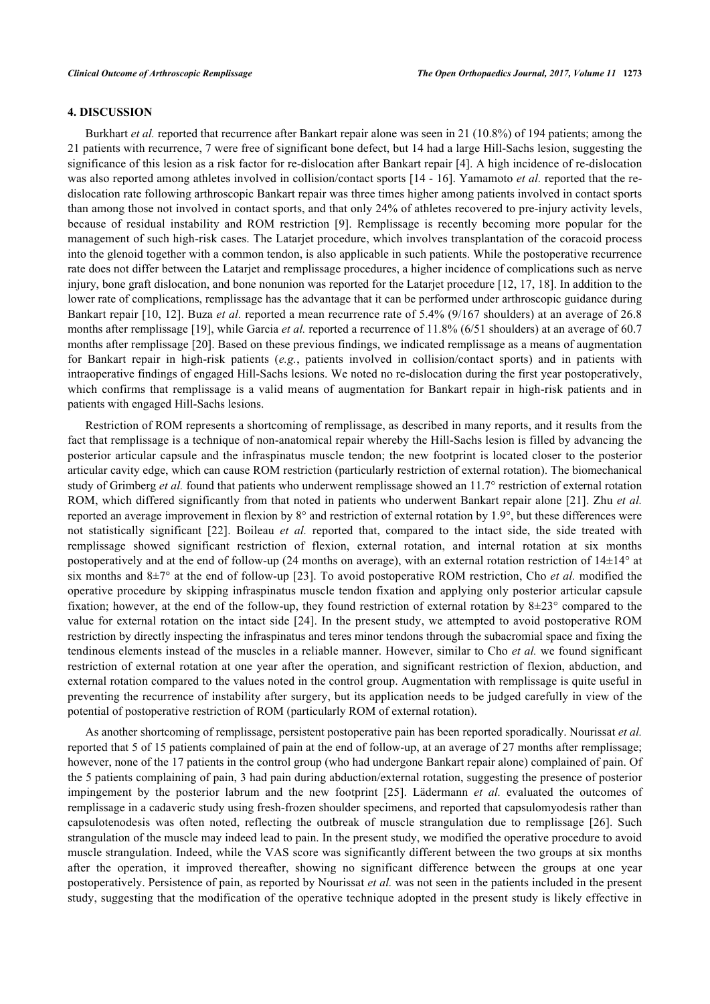# **4. DISCUSSION**

Burkhart *et al.* reported that recurrence after Bankart repair alone was seen in 21 (10.8%) of 194 patients; among the 21 patients with recurrence, 7 were free of significant bone defect, but 14 had a large Hill-Sachs lesion, suggesting the significance of this lesion as a risk factor for re-dislocation after Bankart repair [[4\]](#page-6-3). A high incidence of re-dislocation was also reported among athletes involved in collision/contact sports [[14](#page-7-7) - [16](#page-7-8)]. Yamamoto *et al.* reported that the redislocation rate following arthroscopic Bankart repair was three times higher among patients involved in contact sports than among those not involved in contact sports, and that only 24% of athletes recovered to pre-injury activity levels, because of residual instability and ROM restriction [\[9](#page-7-2)]. Remplissage is recently becoming more popular for the management of such high-risk cases. The Latarjet procedure, which involves transplantation of the coracoid process into the glenoid together with a common tendon, is also applicable in such patients. While the postoperative recurrence rate does not differ between the Latarjet and remplissage procedures, a higher incidence of complications such as nerve injury, bone graft dislocation, and bone nonunion was reported for the Latarjet procedure [[12,](#page-7-5) [17](#page-7-9), [18](#page-7-10)]. In addition to the lower rate of complications, remplissage has the advantage that it can be performed under arthroscopic guidance during Bankart repair [\[10,](#page-7-3) [12](#page-7-5)]. Buza *et al.* reported a mean recurrence rate of 5.4% (9/167 shoulders) at an average of 26.8 months after remplissage [[19\]](#page-7-11), while Garcia *et al.* reported a recurrence of 11.8% (6/51 shoulders) at an average of 60.7 months after remplissage [\[20](#page-7-12)]. Based on these previous findings, we indicated remplissage as a means of augmentation for Bankart repair in high-risk patients (*e.g.*, patients involved in collision/contact sports) and in patients with intraoperative findings of engaged Hill-Sachs lesions. We noted no re-dislocation during the first year postoperatively, which confirms that remplissage is a valid means of augmentation for Bankart repair in high-risk patients and in patients with engaged Hill-Sachs lesions.

Restriction of ROM represents a shortcoming of remplissage, as described in many reports, and it results from the fact that remplissage is a technique of non-anatomical repair whereby the Hill-Sachs lesion is filled by advancing the posterior articular capsule and the infraspinatus muscle tendon; the new footprint is located closer to the posterior articular cavity edge, which can cause ROM restriction (particularly restriction of external rotation). The biomechanical study of Grimberg *et al.* found that patients who underwent remplissage showed an 11.7° restriction of external rotation ROM, which differed significantly from that noted in patients who underwent Bankart repair alone [[21](#page-7-13)]. Zhu *et al.* reported an average improvement in flexion by 8° and restriction of external rotation by 1.9°, but these differences were not statistically significant [\[22\]](#page-7-14). Boileau *et al.* reported that, compared to the intact side, the side treated with remplissage showed significant restriction of flexion, external rotation, and internal rotation at six months postoperatively and at the end of follow-up (24 months on average), with an external rotation restriction of  $14\pm14^{\circ}$  at six months and 8±7° at the end of follow-up [\[23\]](#page-7-15). To avoid postoperative ROM restriction, Cho *et al.* modified the operative procedure by skipping infraspinatus muscle tendon fixation and applying only posterior articular capsule fixation; however, at the end of the follow-up, they found restriction of external rotation by 8±23° compared to the value for external rotation on the intact side [[24](#page-7-16)]. In the present study, we attempted to avoid postoperative ROM restriction by directly inspecting the infraspinatus and teres minor tendons through the subacromial space and fixing the tendinous elements instead of the muscles in a reliable manner. However, similar to Cho *et al.* we found significant restriction of external rotation at one year after the operation, and significant restriction of flexion, abduction, and external rotation compared to the values noted in the control group. Augmentation with remplissage is quite useful in preventing the recurrence of instability after surgery, but its application needs to be judged carefully in view of the potential of postoperative restriction of ROM (particularly ROM of external rotation).

As another shortcoming of remplissage, persistent postoperative pain has been reported sporadically. Nourissat *et al.* reported that 5 of 15 patients complained of pain at the end of follow-up, at an average of 27 months after remplissage; however, none of the 17 patients in the control group (who had undergone Bankart repair alone) complained of pain. Of the 5 patients complaining of pain, 3 had pain during abduction/external rotation, suggesting the presence of posterior impingement by the posterior labrum and the new footprint [\[25](#page-7-17)]. Lädermann *et al.* evaluated the outcomes of remplissage in a cadaveric study using fresh-frozen shoulder specimens, and reported that capsulomyodesis rather than capsulotenodesis was often noted, reflecting the outbreak of muscle strangulation due to remplissage[[26\]](#page-8-0). Such strangulation of the muscle may indeed lead to pain. In the present study, we modified the operative procedure to avoid muscle strangulation. Indeed, while the VAS score was significantly different between the two groups at six months after the operation, it improved thereafter, showing no significant difference between the groups at one year postoperatively. Persistence of pain, as reported by Nourissat *et al.* was not seen in the patients included in the present study, suggesting that the modification of the operative technique adopted in the present study is likely effective in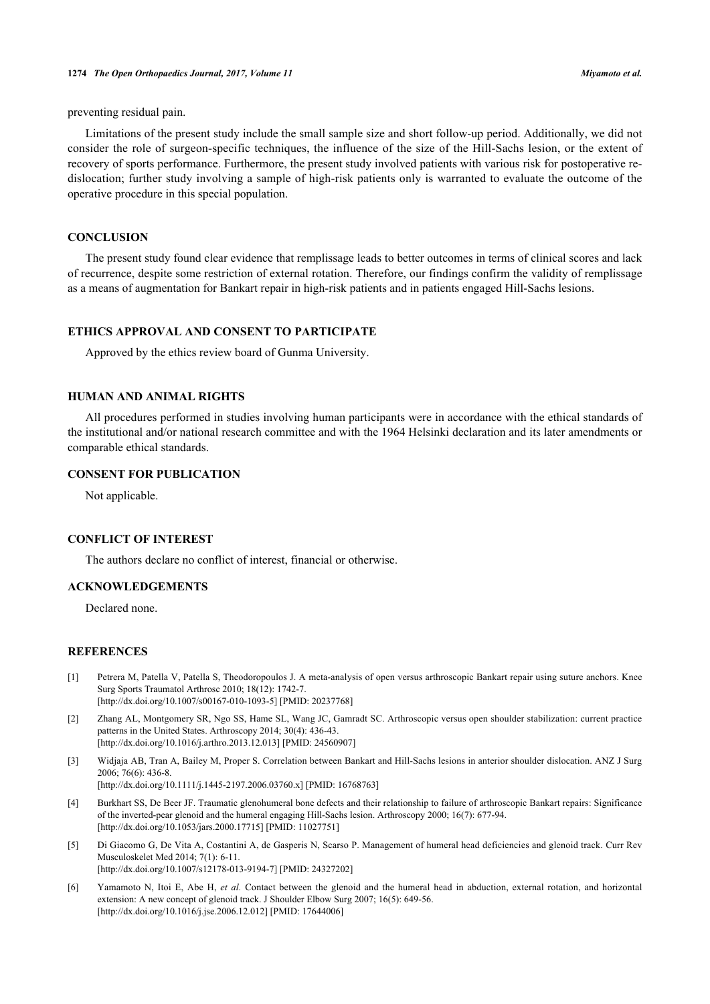preventing residual pain.

Limitations of the present study include the small sample size and short follow-up period. Additionally, we did not consider the role of surgeon-specific techniques, the influence of the size of the Hill-Sachs lesion, or the extent of recovery of sports performance. Furthermore, the present study involved patients with various risk for postoperative redislocation; further study involving a sample of high-risk patients only is warranted to evaluate the outcome of the operative procedure in this special population.

#### **CONCLUSION**

The present study found clear evidence that remplissage leads to better outcomes in terms of clinical scores and lack of recurrence, despite some restriction of external rotation. Therefore, our findings confirm the validity of remplissage as a means of augmentation for Bankart repair in high-risk patients and in patients engaged Hill-Sachs lesions.

# **ETHICS APPROVAL AND CONSENT TO PARTICIPATE**

Approved by the ethics review board of Gunma University.

# **HUMAN AND ANIMAL RIGHTS**

All procedures performed in studies involving human participants were in accordance with the ethical standards of the institutional and/or national research committee and with the 1964 Helsinki declaration and its later amendments or comparable ethical standards.

#### **CONSENT FOR PUBLICATION**

Not applicable.

#### **CONFLICT OF INTEREST**

The authors declare no conflict of interest, financial or otherwise.

# **ACKNOWLEDGEMENTS**

Declared none.

# **REFERENCES**

- <span id="page-6-0"></span>[1] Petrera M, Patella V, Patella S, Theodoropoulos J. A meta-analysis of open versus arthroscopic Bankart repair using suture anchors. Knee Surg Sports Traumatol Arthrosc 2010; 18(12): 1742-7. [\[http://dx.doi.org/10.1007/s00167-010-1093-5\]](http://dx.doi.org/10.1007/s00167-010-1093-5) [PMID: [20237768](http://www.ncbi.nlm.nih.gov/pubmed/20237768)]
- <span id="page-6-1"></span>[2] Zhang AL, Montgomery SR, Ngo SS, Hame SL, Wang JC, Gamradt SC. Arthroscopic versus open shoulder stabilization: current practice patterns in the United States. Arthroscopy 2014; 30(4): 436-43. [\[http://dx.doi.org/10.1016/j.arthro.2013.12.013](http://dx.doi.org/10.1016/j.arthro.2013.12.013)] [PMID: [24560907\]](http://www.ncbi.nlm.nih.gov/pubmed/24560907)
- <span id="page-6-2"></span>[3] Widjaja AB, Tran A, Bailey M, Proper S. Correlation between Bankart and Hill-Sachs lesions in anterior shoulder dislocation. ANZ J Surg 2006; 76(6): 436-8. [\[http://dx.doi.org/10.1111/j.1445-2197.2006.03760.x\]](http://dx.doi.org/10.1111/j.1445-2197.2006.03760.x) [PMID: [16768763](http://www.ncbi.nlm.nih.gov/pubmed/16768763)]
- <span id="page-6-3"></span>[4] Burkhart SS, De Beer JF. Traumatic glenohumeral bone defects and their relationship to failure of arthroscopic Bankart repairs: Significance of the inverted-pear glenoid and the humeral engaging Hill-Sachs lesion. Arthroscopy 2000; 16(7): 677-94. [\[http://dx.doi.org/10.1053/jars.2000.17715](http://dx.doi.org/10.1053/jars.2000.17715)] [PMID: [11027751\]](http://www.ncbi.nlm.nih.gov/pubmed/11027751)
- [5] Di Giacomo G, De Vita A, Costantini A, de Gasperis N, Scarso P. Management of humeral head deficiencies and glenoid track. Curr Rev Musculoskelet Med 2014; 7(1): 6-11. [\[http://dx.doi.org/10.1007/s12178-013-9194-7\]](http://dx.doi.org/10.1007/s12178-013-9194-7) [PMID: [24327202](http://www.ncbi.nlm.nih.gov/pubmed/24327202)]
- <span id="page-6-4"></span>[6] Yamamoto N, Itoi E, Abe H, *et al.* Contact between the glenoid and the humeral head in abduction, external rotation, and horizontal extension: A new concept of glenoid track. J Shoulder Elbow Surg 2007; 16(5): 649-56. [\[http://dx.doi.org/10.1016/j.jse.2006.12.012\]](http://dx.doi.org/10.1016/j.jse.2006.12.012) [PMID: [17644006](http://www.ncbi.nlm.nih.gov/pubmed/17644006)]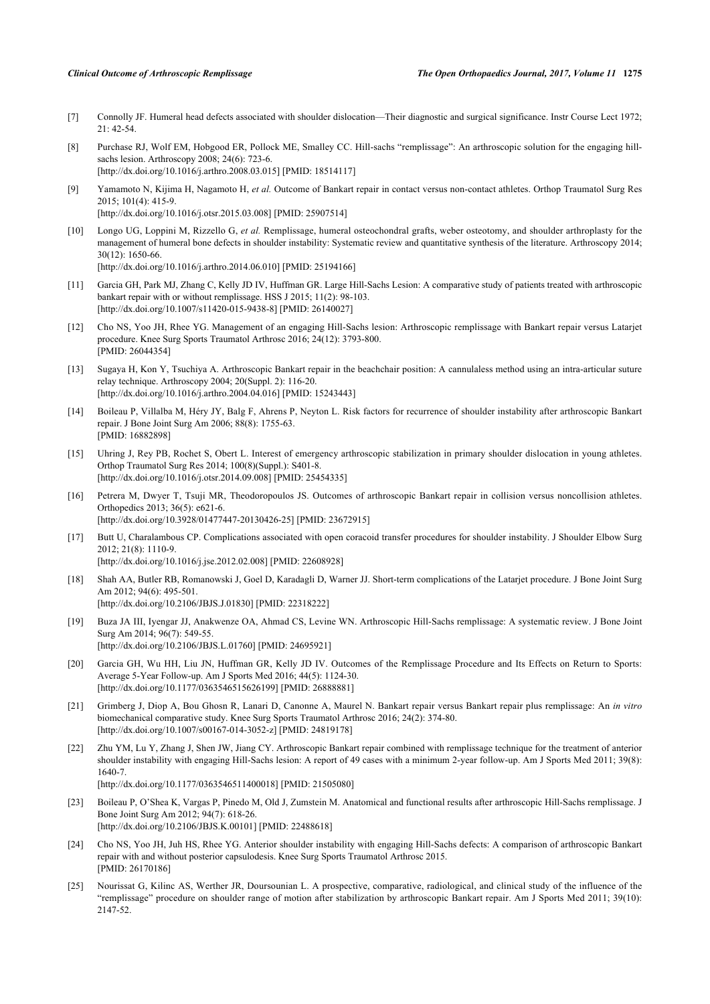- <span id="page-7-0"></span>[7] Connolly JF. Humeral head defects associated with shoulder dislocation—Their diagnostic and surgical significance. Instr Course Lect 1972;  $21 \cdot 42 - 54$
- <span id="page-7-1"></span>[8] Purchase RJ, Wolf EM, Hobgood ER, Pollock ME, Smalley CC. Hill-sachs "remplissage": An arthroscopic solution for the engaging hillsachs lesion. Arthroscopy 2008; 24(6): 723-6. [\[http://dx.doi.org/10.1016/j.arthro.2008.03.015](http://dx.doi.org/10.1016/j.arthro.2008.03.015)] [PMID: [18514117\]](http://www.ncbi.nlm.nih.gov/pubmed/18514117)
- <span id="page-7-2"></span>[9] Yamamoto N, Kijima H, Nagamoto H, *et al.* Outcome of Bankart repair in contact versus non-contact athletes. Orthop Traumatol Surg Res 2015; 101(4): 415-9. [\[http://dx.doi.org/10.1016/j.otsr.2015.03.008](http://dx.doi.org/10.1016/j.otsr.2015.03.008)] [PMID: [25907514\]](http://www.ncbi.nlm.nih.gov/pubmed/25907514)
- <span id="page-7-3"></span>[10] Longo UG, Loppini M, Rizzello G, *et al.* Remplissage, humeral osteochondral grafts, weber osteotomy, and shoulder arthroplasty for the management of humeral bone defects in shoulder instability: Systematic review and quantitative synthesis of the literature. Arthroscopy 2014; 30(12): 1650-66.

[\[http://dx.doi.org/10.1016/j.arthro.2014.06.010](http://dx.doi.org/10.1016/j.arthro.2014.06.010)] [PMID: [25194166\]](http://www.ncbi.nlm.nih.gov/pubmed/25194166)

- <span id="page-7-4"></span>[11] Garcia GH, Park MJ, Zhang C, Kelly JD IV, Huffman GR. Large Hill-Sachs Lesion: A comparative study of patients treated with arthroscopic bankart repair with or without remplissage. HSS J 2015; 11(2): 98-103. [\[http://dx.doi.org/10.1007/s11420-015-9438-8\]](http://dx.doi.org/10.1007/s11420-015-9438-8) [PMID: [26140027](http://www.ncbi.nlm.nih.gov/pubmed/26140027)]
- <span id="page-7-5"></span>[12] Cho NS, Yoo JH, Rhee YG. Management of an engaging Hill-Sachs lesion: Arthroscopic remplissage with Bankart repair versus Latarjet procedure. Knee Surg Sports Traumatol Arthrosc 2016; 24(12): 3793-800. [PMID: [26044354\]](http://www.ncbi.nlm.nih.gov/pubmed/26044354)
- <span id="page-7-6"></span>[13] Sugaya H, Kon Y, Tsuchiya A. Arthroscopic Bankart repair in the beachchair position: A cannulaless method using an intra-articular suture relay technique. Arthroscopy 2004; 20(Suppl. 2): 116-20. [\[http://dx.doi.org/10.1016/j.arthro.2004.04.016](http://dx.doi.org/10.1016/j.arthro.2004.04.016)] [PMID: [15243443\]](http://www.ncbi.nlm.nih.gov/pubmed/15243443)
- <span id="page-7-7"></span>[14] Boileau P, Villalba M, Héry JY, Balg F, Ahrens P, Neyton L. Risk factors for recurrence of shoulder instability after arthroscopic Bankart repair. J Bone Joint Surg Am 2006; 88(8): 1755-63. [PMID: [16882898\]](http://www.ncbi.nlm.nih.gov/pubmed/16882898)
- [15] Uhring J, Rey PB, Rochet S, Obert L. Interest of emergency arthroscopic stabilization in primary shoulder dislocation in young athletes. Orthop Traumatol Surg Res 2014; 100(8)(Suppl.): S401-8. [\[http://dx.doi.org/10.1016/j.otsr.2014.09.008](http://dx.doi.org/10.1016/j.otsr.2014.09.008)] [PMID: [25454335\]](http://www.ncbi.nlm.nih.gov/pubmed/25454335)
- <span id="page-7-8"></span>[16] Petrera M, Dwyer T, Tsuji MR, Theodoropoulos JS. Outcomes of arthroscopic Bankart repair in collision versus noncollision athletes. Orthopedics 2013; 36(5): e621-6. [\[http://dx.doi.org/10.3928/01477447-20130426-25](http://dx.doi.org/10.3928/01477447-20130426-25)] [PMID: [23672915\]](http://www.ncbi.nlm.nih.gov/pubmed/23672915)
- <span id="page-7-9"></span>[17] Butt U, Charalambous CP. Complications associated with open coracoid transfer procedures for shoulder instability. J Shoulder Elbow Surg 2012; 21(8): 1110-9. [\[http://dx.doi.org/10.1016/j.jse.2012.02.008\]](http://dx.doi.org/10.1016/j.jse.2012.02.008) [PMID: [22608928](http://www.ncbi.nlm.nih.gov/pubmed/22608928)]
- <span id="page-7-10"></span>[18] Shah AA, Butler RB, Romanowski J, Goel D, Karadagli D, Warner JJ. Short-term complications of the Latarjet procedure. J Bone Joint Surg Am 2012; 94(6): 495-501. [\[http://dx.doi.org/10.2106/JBJS.J.01830\]](http://dx.doi.org/10.2106/JBJS.J.01830) [PMID: [22318222](http://www.ncbi.nlm.nih.gov/pubmed/22318222)]
- <span id="page-7-11"></span>[19] Buza JA III, Iyengar JJ, Anakwenze OA, Ahmad CS, Levine WN. Arthroscopic Hill-Sachs remplissage: A systematic review. J Bone Joint Surg Am 2014; 96(7): 549-55. [\[http://dx.doi.org/10.2106/JBJS.L.01760\]](http://dx.doi.org/10.2106/JBJS.L.01760) [PMID: [24695921](http://www.ncbi.nlm.nih.gov/pubmed/24695921)]
- <span id="page-7-12"></span>[20] Garcia GH, Wu HH, Liu JN, Huffman GR, Kelly JD IV. Outcomes of the Remplissage Procedure and Its Effects on Return to Sports: Average 5-Year Follow-up. Am J Sports Med 2016; 44(5): 1124-30. [\[http://dx.doi.org/10.1177/0363546515626199\]](http://dx.doi.org/10.1177/0363546515626199) [PMID: [26888881](http://www.ncbi.nlm.nih.gov/pubmed/26888881)]
- <span id="page-7-13"></span>[21] Grimberg J, Diop A, Bou Ghosn R, Lanari D, Canonne A, Maurel N. Bankart repair versus Bankart repair plus remplissage: An *in vitro* biomechanical comparative study. Knee Surg Sports Traumatol Arthrosc 2016; 24(2): 374-80. [\[http://dx.doi.org/10.1007/s00167-014-3052-z](http://dx.doi.org/10.1007/s00167-014-3052-z)] [PMID: [24819178](http://www.ncbi.nlm.nih.gov/pubmed/24819178)]
- <span id="page-7-14"></span>[22] Zhu YM, Lu Y, Zhang J, Shen JW, Jiang CY. Arthroscopic Bankart repair combined with remplissage technique for the treatment of anterior shoulder instability with engaging Hill-Sachs lesion: A report of 49 cases with a minimum 2-year follow-up. Am J Sports Med 2011; 39(8): 1640-7. [\[http://dx.doi.org/10.1177/0363546511400018\]](http://dx.doi.org/10.1177/0363546511400018) [PMID: [21505080](http://www.ncbi.nlm.nih.gov/pubmed/21505080)]
- <span id="page-7-15"></span>[23] Boileau P, O'Shea K, Vargas P, Pinedo M, Old J, Zumstein M. Anatomical and functional results after arthroscopic Hill-Sachs remplissage. J Bone Joint Surg Am 2012; 94(7): 618-26. [\[http://dx.doi.org/10.2106/JBJS.K.00101\]](http://dx.doi.org/10.2106/JBJS.K.00101) [PMID: [22488618](http://www.ncbi.nlm.nih.gov/pubmed/22488618)]
- <span id="page-7-16"></span>[24] Cho NS, Yoo JH, Juh HS, Rhee YG. Anterior shoulder instability with engaging Hill-Sachs defects: A comparison of arthroscopic Bankart repair with and without posterior capsulodesis. Knee Surg Sports Traumatol Arthrosc 2015. [PMID: [26170186\]](http://www.ncbi.nlm.nih.gov/pubmed/26170186)
- <span id="page-7-17"></span>[25] Nourissat G, Kilinc AS, Werther JR, Doursounian L. A prospective, comparative, radiological, and clinical study of the influence of the "remplissage" procedure on shoulder range of motion after stabilization by arthroscopic Bankart repair. Am J Sports Med 2011; 39(10): 2147-52.